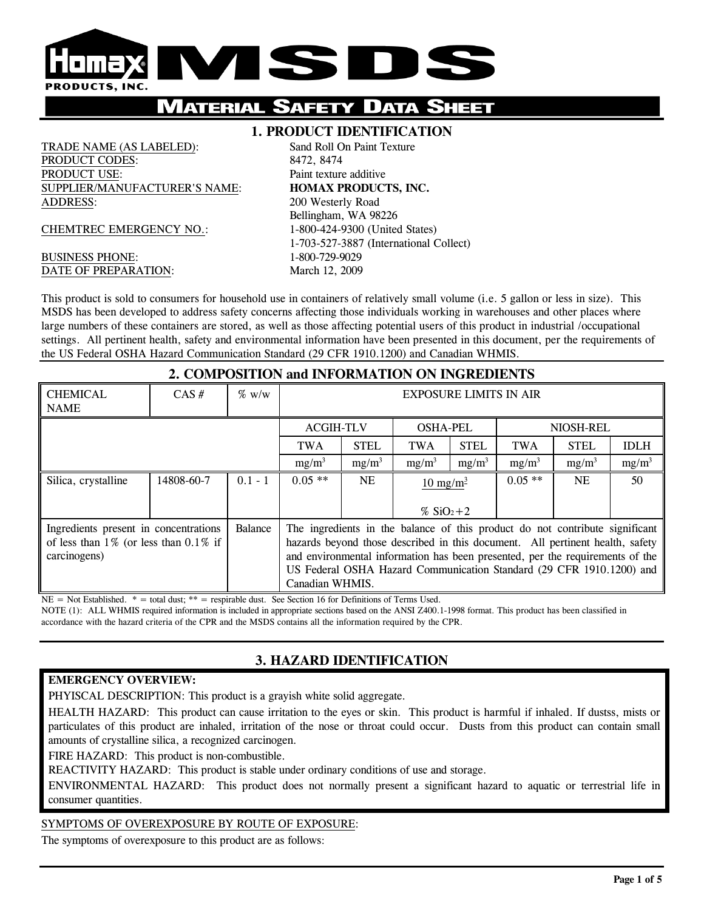

# **MATERIAL SAFETY DATA**

#### **1. PRODUCT IDENTIFICATION**

TRADE NAME (AS LABELED): Sand Roll On Paint Texture PRODUCT CODES: 8472, 8474 PRODUCT USE: Paint texture additive SUPPLIER/MANUFACTURER'S NAME: **HOMAX PRODUCTS, INC.** ADDRESS: 200 Westerly Road

CHEMTREC EMERGENCY NO.: 1-800-424-9300 (United States)

#### BUSINESS PHONE: 1-800-729-9029 DATE OF PREPARATION: March 12, 2009

 Bellingham, WA 98226 1-703-527-3887 (International Collect)

This product is sold to consumers for household use in containers of relatively small volume (i.e. 5 gallon or less in size). This MSDS has been developed to address safety concerns affecting those individuals working in warehouses and other places where large numbers of these containers are stored, as well as those affecting potential users of this product in industrial /occupational settings. All pertinent health, safety and environmental information have been presented in this document, per the requirements of the US Federal OSHA Hazard Communication Standard (29 CFR 1910.1200) and Canadian WHMIS.

#### **2. COMPOSITION and INFORMATION ON INGREDIENTS** CHEMICAL NAME CAS #  $\frac{1}{2}$  % w/w  $\frac{1}{2}$  EXPOSURE LIMITS IN AIR ACGIH-TLV OSHA-PEL NIOSH-REL TWA | STEL | TWA | STEL | TWA | STEL | IDLH

|                                                         |            |           | $mg/m^3$                                                                      | $mg/m^3$ | $mg/m^3$            | $mg/m^3$ | $mg/m^3$  | $mg/m^3$ | $mg/m^3$ |
|---------------------------------------------------------|------------|-----------|-------------------------------------------------------------------------------|----------|---------------------|----------|-----------|----------|----------|
| Silica, crystalline                                     | 14808-60-7 | $0.1 - 1$ | $0.05**$                                                                      | NE.      | $10 \text{ mg/m}^3$ |          | $0.05$ ** | NE.      | 50       |
|                                                         |            |           |                                                                               |          |                     |          |           |          |          |
|                                                         |            |           |                                                                               |          | % $SiO_2 + 2$       |          |           |          |          |
| <b>Balance</b><br>Ingredients present in concentrations |            |           | The ingredients in the balance of this product do not contribute significant  |          |                     |          |           |          |          |
| of less than $1\%$ (or less than $0.1\%$ if             |            |           | hazards beyond those described in this document. All pertinent health, safety |          |                     |          |           |          |          |
| carcinogens)                                            |            |           | and environmental information has been presented, per the requirements of the |          |                     |          |           |          |          |
|                                                         |            |           | US Federal OSHA Hazard Communication Standard (29 CFR 1910.1200) and          |          |                     |          |           |          |          |
|                                                         |            |           | Canadian WHMIS.                                                               |          |                     |          |           |          |          |

 $NE = Not Established.$  \* = total dust; \*\* = respirable dust. See Section 16 for Definitions of Terms Used.

NOTE (1): ALL WHMIS required information is included in appropriate sections based on the ANSI Z400.1-1998 format. This product has been classified in accordance with the hazard criteria of the CPR and the MSDS contains all the information required by the CPR.

## **3. HAZARD IDENTIFICATION**

#### **EMERGENCY OVERVIEW:**

PHYISCAL DESCRIPTION: This product is a grayish white solid aggregate.

HEALTH HAZARD: This product can cause irritation to the eyes or skin. This product is harmful if inhaled. If dustss, mists or particulates of this product are inhaled, irritation of the nose or throat could occur. Dusts from this product can contain small amounts of crystalline silica, a recognized carcinogen.

FIRE HAZARD: This product is non-combustible.

REACTIVITY HAZARD: This product is stable under ordinary conditions of use and storage.

ENVIRONMENTAL HAZARD: This product does not normally present a significant hazard to aquatic or terrestrial life in consumer quantities.

#### SYMPTOMS OF OVEREXPOSURE BY ROUTE OF EXPOSURE:

The symptoms of overexposure to this product are as follows: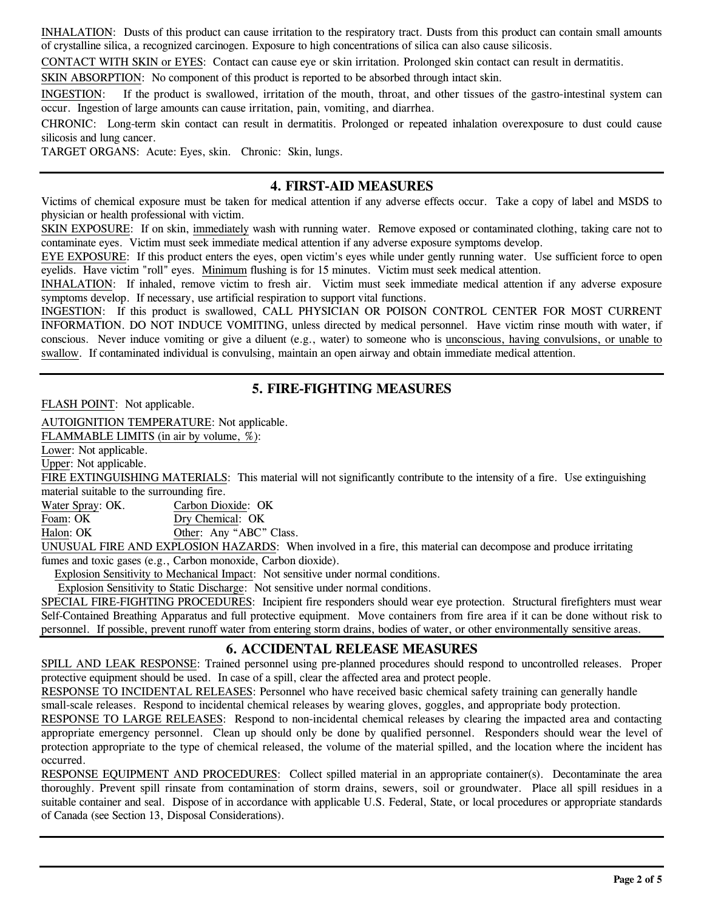INHALATION: Dusts of this product can cause irritation to the respiratory tract. Dusts from this product can contain small amounts of crystalline silica, a recognized carcinogen. Exposure to high concentrations of silica can also cause silicosis.

CONTACT WITH SKIN or EYES: Contact can cause eye or skin irritation. Prolonged skin contact can result in dermatitis.

SKIN ABSORPTION: No component of this product is reported to be absorbed through intact skin.

INGESTION: If the product is swallowed, irritation of the mouth, throat, and other tissues of the gastro-intestinal system can occur. Ingestion of large amounts can cause irritation, pain, vomiting, and diarrhea.

CHRONIC: Long-term skin contact can result in dermatitis. Prolonged or repeated inhalation overexposure to dust could cause silicosis and lung cancer.

TARGET ORGANS: Acute: Eyes, skin. Chronic: Skin, lungs.

#### **4. FIRST-AID MEASURES**

Victims of chemical exposure must be taken for medical attention if any adverse effects occur. Take a copy of label and MSDS to physician or health professional with victim.

SKIN EXPOSURE: If on skin, immediately wash with running water. Remove exposed or contaminated clothing, taking care not to contaminate eyes. Victim must seek immediate medical attention if any adverse exposure symptoms develop.

EYE EXPOSURE: If this product enters the eyes, open victim's eyes while under gently running water. Use sufficient force to open eyelids. Have victim "roll" eyes. Minimum flushing is for 15 minutes. Victim must seek medical attention.

INHALATION: If inhaled, remove victim to fresh air. Victim must seek immediate medical attention if any adverse exposure symptoms develop. If necessary, use artificial respiration to support vital functions.

INGESTION: If this product is swallowed, CALL PHYSICIAN OR POISON CONTROL CENTER FOR MOST CURRENT INFORMATION. DO NOT INDUCE VOMITING, unless directed by medical personnel. Have victim rinse mouth with water, if conscious. Never induce vomiting or give a diluent (e.g., water) to someone who is unconscious, having convulsions, or unable to swallow. If contaminated individual is convulsing, maintain an open airway and obtain immediate medical attention.

## **5. FIRE-FIGHTING MEASURES**

FLASH POINT: Not applicable.

AUTOIGNITION TEMPERATURE: Not applicable.

FLAMMABLE LIMITS (in air by volume, %):

Lower: Not applicable.

Upper: Not applicable.

FIRE EXTINGUISHING MATERIALS: This material will not significantly contribute to the intensity of a fire. Use extinguishing material suitable to the surrounding fire.

Water Spray: OK. Carbon Dioxide: OK

Foam: OK Dry Chemical: OK

Halon: OK Other: Any "ABC" Class.

UNUSUAL FIRE AND EXPLOSION HAZARDS: When involved in a fire, this material can decompose and produce irritating fumes and toxic gases (e.g., Carbon monoxide, Carbon dioxide).

Explosion Sensitivity to Mechanical Impact: Not sensitive under normal conditions.

Explosion Sensitivity to Static Discharge: Not sensitive under normal conditions.

SPECIAL FIRE-FIGHTING PROCEDURES: Incipient fire responders should wear eye protection. Structural firefighters must wear Self-Contained Breathing Apparatus and full protective equipment. Move containers from fire area if it can be done without risk to personnel. If possible, prevent runoff water from entering storm drains, bodies of water, or other environmentally sensitive areas.

### **6. ACCIDENTAL RELEASE MEASURES**

SPILL AND LEAK RESPONSE: Trained personnel using pre-planned procedures should respond to uncontrolled releases. Proper protective equipment should be used. In case of a spill, clear the affected area and protect people.

RESPONSE TO INCIDENTAL RELEASES: Personnel who have received basic chemical safety training can generally handle

small-scale releases. Respond to incidental chemical releases by wearing gloves, goggles, and appropriate body protection.

RESPONSE TO LARGE RELEASES: Respond to non-incidental chemical releases by clearing the impacted area and contacting appropriate emergency personnel. Clean up should only be done by qualified personnel. Responders should wear the level of protection appropriate to the type of chemical released, the volume of the material spilled, and the location where the incident has occurred.

RESPONSE EQUIPMENT AND PROCEDURES: Collect spilled material in an appropriate container(s). Decontaminate the area thoroughly. Prevent spill rinsate from contamination of storm drains, sewers, soil or groundwater. Place all spill residues in a suitable container and seal. Dispose of in accordance with applicable U.S. Federal, State, or local procedures or appropriate standards of Canada (see Section 13, Disposal Considerations).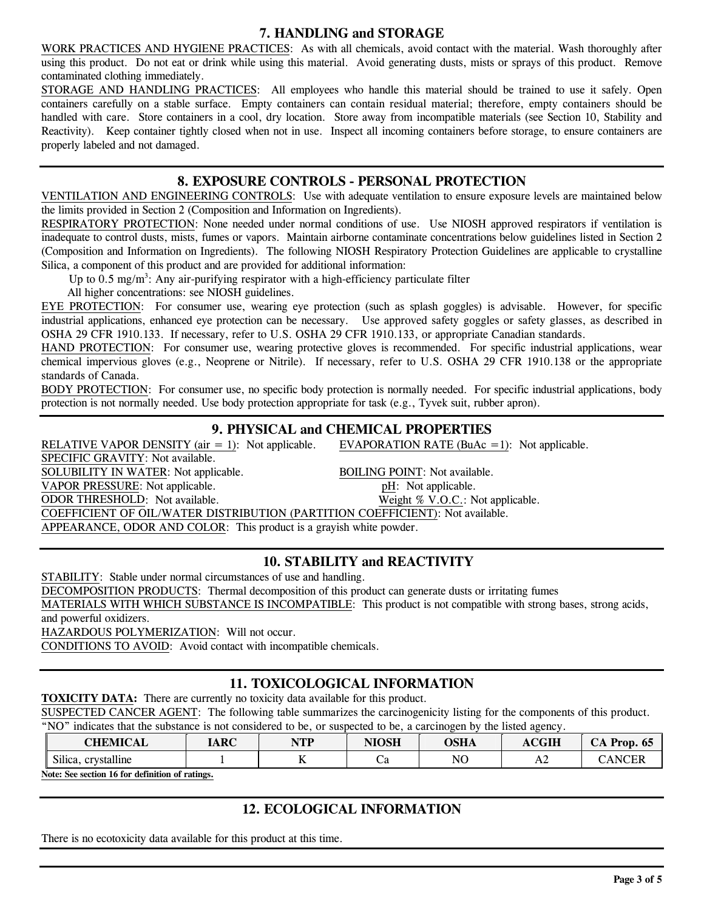#### **7. HANDLING and STORAGE**

WORK PRACTICES AND HYGIENE PRACTICES: As with all chemicals, avoid contact with the material. Wash thoroughly after using this product. Do not eat or drink while using this material. Avoid generating dusts, mists or sprays of this product. Remove contaminated clothing immediately.

STORAGE AND HANDLING PRACTICES: All employees who handle this material should be trained to use it safely. Open containers carefully on a stable surface. Empty containers can contain residual material; therefore, empty containers should be handled with care. Store containers in a cool, dry location. Store away from incompatible materials (see Section 10, Stability and Reactivity). Keep container tightly closed when not in use. Inspect all incoming containers before storage, to ensure containers are properly labeled and not damaged.

## **8. EXPOSURE CONTROLS - PERSONAL PROTECTION**

VENTILATION AND ENGINEERING CONTROLS: Use with adequate ventilation to ensure exposure levels are maintained below the limits provided in Section 2 (Composition and Information on Ingredients).

RESPIRATORY PROTECTION: None needed under normal conditions of use. Use NIOSH approved respirators if ventilation is inadequate to control dusts, mists, fumes or vapors. Maintain airborne contaminate concentrations below guidelines listed in Section 2 (Composition and Information on Ingredients). The following NIOSH Respiratory Protection Guidelines are applicable to crystalline Silica, a component of this product and are provided for additional information:

Up to 0.5 mg/m<sup>3</sup>: Any air-purifying respirator with a high-efficiency particulate filter

All higher concentrations: see NIOSH guidelines.

EYE PROTECTION: For consumer use, wearing eye protection (such as splash goggles) is advisable. However, for specific industrial applications, enhanced eye protection can be necessary. Use approved safety goggles or safety glasses, as described in OSHA 29 CFR 1910.133. If necessary, refer to U.S. OSHA 29 CFR 1910.133, or appropriate Canadian standards.

HAND PROTECTION: For consumer use, wearing protective gloves is recommended. For specific industrial applications, wear chemical impervious gloves (e.g., Neoprene or Nitrile). If necessary, refer to U.S. OSHA 29 CFR 1910.138 or the appropriate standards of Canada.

BODY PROTECTION: For consumer use, no specific body protection is normally needed. For specific industrial applications, body protection is not normally needed. Use body protection appropriate for task (e.g., Tyvek suit, rubber apron).

## **9. PHYSICAL and CHEMICAL PROPERTIES**

RELATIVE VAPOR DENSITY (air  $= 1$ ): Not applicable. EVAPORATION RATE (BuAc  $= 1$ ): Not applicable.

SPECIFIC GRAVITY: Not available. SOLUBILITY IN WATER: Not applicable.<br>
VAPOR PRESSURE: Not applicable.<br>
VAPOR PRESSURE: Not applicable.<br>
pH: Not applicable. VAPOR PRESSURE: Not applicable.<br>
ODOR THRESHOLD: Not available.<br>
Weight % V.O.C.: Not applicable. ODOR THRESHOLD: Not available. COEFFICIENT OF OIL/WATER DISTRIBUTION (PARTITION COEFFICIENT): Not available. APPEARANCE, ODOR AND COLOR: This product is a grayish white powder.

## **10. STABILITY and REACTIVITY**

STABILITY: Stable under normal circumstances of use and handling.

DECOMPOSITION PRODUCTS: Thermal decomposition of this product can generate dusts or irritating fumes

MATERIALS WITH WHICH SUBSTANCE IS INCOMPATIBLE: This product is not compatible with strong bases, strong acids, and powerful oxidizers.

HAZARDOUS POLYMERIZATION: Will not occur.

CONDITIONS TO AVOID: Avoid contact with incompatible chemicals.

## **11. TOXICOLOGICAL INFORMATION**

**TOXICITY DATA:** There are currently no toxicity data available for this product.

SUSPECTED CANCER AGENT: The following table summarizes the carcinogenicity listing for the components of this product. "NO" indicates that the substance is not considered to be, or suspected to be, a carcinogen by the listed agency.

| <b>CHEMICAL</b>        | <b>IARC</b> | NTD<br>.  | NINCU<br>моя | OSHA | <b>CGIH</b><br>Aυ | Prop.<br>- 65 |
|------------------------|-------------|-----------|--------------|------|-------------------|---------------|
| Silica,<br>crystalline |             | <b>TT</b> | Uα           | NO   | A2                | A NI          |

**Note: See section 16 for definition of ratings.**

## **12. ECOLOGICAL INFORMATION**

There is no ecotoxicity data available for this product at this time.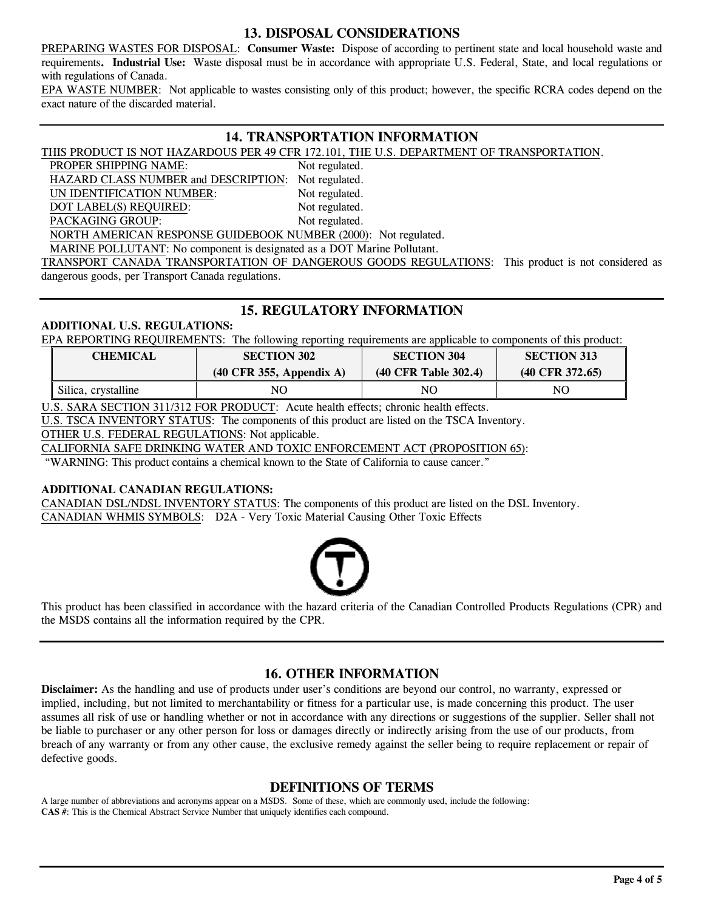### **13. DISPOSAL CONSIDERATIONS**

PREPARING WASTES FOR DISPOSAL: **Consumer Waste:** Dispose of according to pertinent state and local household waste and requirements**. Industrial Use:** Waste disposal must be in accordance with appropriate U.S. Federal, State, and local regulations or with regulations of Canada.

EPA WASTE NUMBER: Not applicable to wastes consisting only of this product; however, the specific RCRA codes depend on the exact nature of the discarded material.

### **14. TRANSPORTATION INFORMATION**

THIS PRODUCT IS NOT HAZARDOUS PER 49 CFR 172.101, THE U.S. DEPARTMENT OF TRANSPORTATION.

PROPER SHIPPING NAME: Not regulated.

HAZARD CLASS NUMBER and DESCRIPTION: Not regulated.

UN IDENTIFICATION NUMBER: Not regulated.

DOT LABEL(S) REQUIRED: Not regulated.

PACKAGING GROUP: Not regulated.

NORTH AMERICAN RESPONSE GUIDEBOOK NUMBER (2000): Not regulated.

MARINE POLLUTANT: No component is designated as a DOT Marine Pollutant.

TRANSPORT CANADA TRANSPORTATION OF DANGEROUS GOODS REGULATIONS: This product is not considered as dangerous goods, per Transport Canada regulations.

## **15. REGULATORY INFORMATION**

#### **ADDITIONAL U.S. REGULATIONS:**

EPA REPORTING REQUIREMENTS:The following reporting requirements are applicable to components of this product:

| <b>CHEMICAL</b>     | <b>SECTION 302</b>                          | <b>SECTION 304</b>   | <b>SECTION 313</b>         |  |
|---------------------|---------------------------------------------|----------------------|----------------------------|--|
|                     | $(40 \text{ CFR } 355, \text{ Appendix A})$ | (40 CFR Table 302.4) | $(40 \text{ CFR } 372.65)$ |  |
| Silica, crystalline | NΟ                                          | NΟ                   | NC                         |  |

U.S. SARA SECTION 311/312 FOR PRODUCT: Acute health effects; chronic health effects.

U.S. TSCA INVENTORY STATUS: The components of this product are listed on the TSCA Inventory.

OTHER U.S. FEDERAL REGULATIONS: Not applicable.

CALIFORNIA SAFE DRINKING WATER AND TOXIC ENFORCEMENT ACT (PROPOSITION 65):

"WARNING: This product contains a chemical known to the State of California to cause cancer."

#### **ADDITIONAL CANADIAN REGULATIONS:**

CANADIAN DSL/NDSL INVENTORY STATUS: The components of this product are listed on the DSL Inventory. CANADIAN WHMIS SYMBOLS: D2A - Very Toxic Material Causing Other Toxic Effects



This product has been classified in accordance with the hazard criteria of the Canadian Controlled Products Regulations (CPR) and the MSDS contains all the information required by the CPR.

## **16. OTHER INFORMATION**

**Disclaimer:** As the handling and use of products under user's conditions are beyond our control, no warranty, expressed or implied, including, but not limited to merchantability or fitness for a particular use, is made concerning this product. The user assumes all risk of use or handling whether or not in accordance with any directions or suggestions of the supplier. Seller shall not be liable to purchaser or any other person for loss or damages directly or indirectly arising from the use of our products, from breach of any warranty or from any other cause, the exclusive remedy against the seller being to require replacement or repair of defective goods.

### **DEFINITIONS OF TERMS**

A large number of abbreviations and acronyms appear on a MSDS. Some of these, which are commonly used, include the following: **CAS #**: This is the Chemical Abstract Service Number that uniquely identifies each compound.